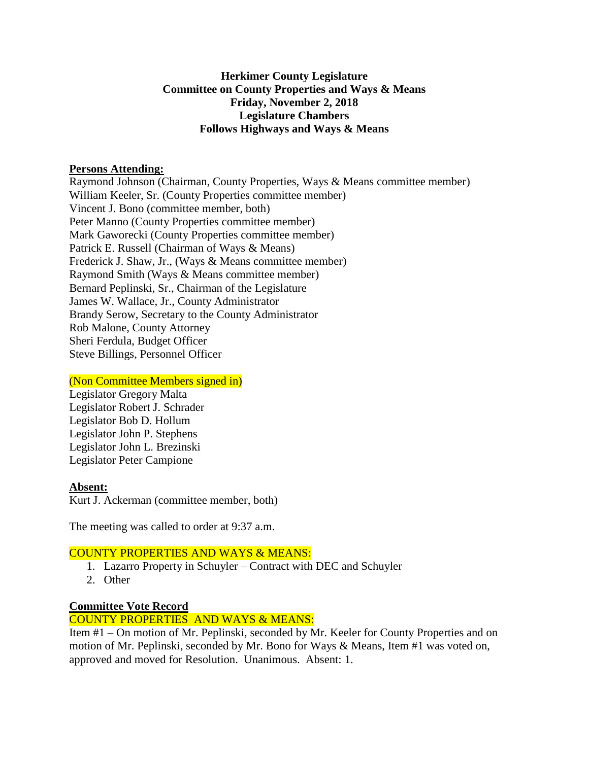# **Herkimer County Legislature Committee on County Properties and Ways & Means Friday, November 2, 2018 Legislature Chambers Follows Highways and Ways & Means**

#### **Persons Attending:**

Raymond Johnson (Chairman, County Properties, Ways & Means committee member) William Keeler, Sr. (County Properties committee member) Vincent J. Bono (committee member, both) Peter Manno (County Properties committee member) Mark Gaworecki (County Properties committee member) Patrick E. Russell (Chairman of Ways & Means) Frederick J. Shaw, Jr., (Ways & Means committee member) Raymond Smith (Ways & Means committee member) Bernard Peplinski, Sr., Chairman of the Legislature James W. Wallace, Jr., County Administrator Brandy Serow, Secretary to the County Administrator Rob Malone, County Attorney Sheri Ferdula, Budget Officer Steve Billings, Personnel Officer

#### (Non Committee Members signed in)

Legislator Gregory Malta Legislator Robert J. Schrader Legislator Bob D. Hollum Legislator John P. Stephens Legislator John L. Brezinski Legislator Peter Campione

# **Absent:**

Kurt J. Ackerman (committee member, both)

The meeting was called to order at 9:37 a.m.

# COUNTY PROPERTIES AND WAYS & MEANS:

- 1. Lazarro Property in Schuyler Contract with DEC and Schuyler
- 2. Other

# **Committee Vote Record**

# COUNTY PROPERTIES AND WAYS & MEANS:

Item #1 – On motion of Mr. Peplinski, seconded by Mr. Keeler for County Properties and on motion of Mr. Peplinski, seconded by Mr. Bono for Ways & Means, Item #1 was voted on, approved and moved for Resolution. Unanimous. Absent: 1.